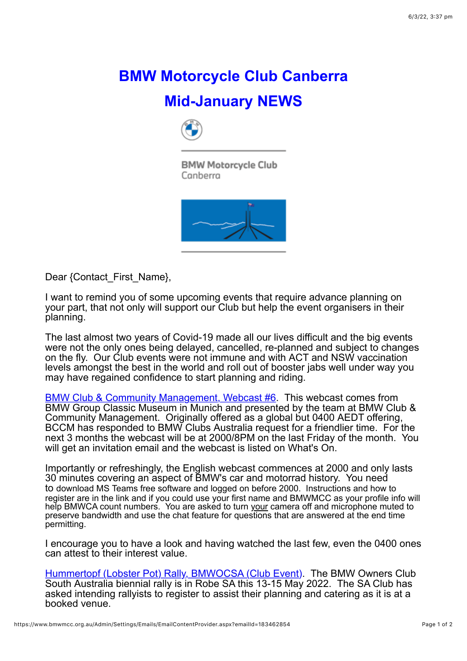## **BMW Motorcycle Club Canberra Mid-January NEWS**



**BMW Motorcycle Club** Canberra



Dear {Contact\_First\_Name},

I want to remind you of some upcoming events that require advance planning on your part, that not only will support our Club but help the event organisers in their planning.

The last almost two years of Covid-19 made all our lives difficult and the big events were not the only ones being delayed, cancelled, re-planned and subject to changes on the fly. Our Club events were not immune and with ACT and NSW vaccination levels amongst the best in the world and roll out of booster jabs well under way you may have regained confidence to start planning and riding.

[BMW Club & Community Management, Webcast #6.](https://www.bmwmcc.org.au/event-4612397) This webcast comes from BMW Group Classic Museum in Munich and presented by the team at BMW Club & Community Management. Originally offered as a global but 0400 AEDT offering, BCCM has responded to BMW Clubs Australia request for a friendlier time. For the next 3 months the webcast will be at 2000/8PM on the last Friday of the month. You will get an invitation email and the webcast is listed on What's On.

Importantly or refreshingly, the English webcast commences at 2000 and only lasts 30 minutes covering an aspect of BMW's car and motorrad history. You need to download MS Teams free software and logged on before 2000. Instructions and how to register are in the link and if you could use your first name and BMWMCC as your profile info will help BMWCA count numbers. You are asked to turn your camera off and microphone muted to preserve bandwidth and use the chat feature for questions that are answered at the end time permitting.

I encourage you to have a look and having watched the last few, even the 0400 ones can attest to their interest value.

[Hummertopf \(Lobster Pot\) Rally, BMWOCSA \(Club Event\)](https://www.bmwmcc.org.au/event-3799598). The BMW Owners Club South Australia biennial rally is in Robe SA this 13-15 May 2022. The SA Club has asked intending rallyists to register to assist their planning and catering as it is at a booked venue.